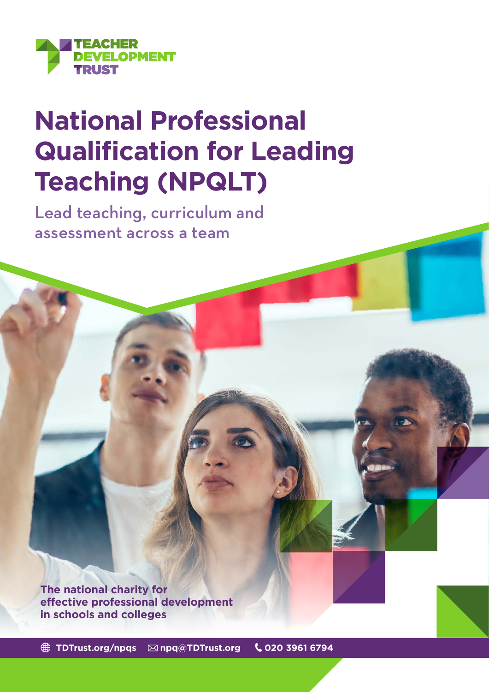

# **National Professional Qualification for Leading Teaching (NPQLT)**

Lead teaching, curriculum and assessment across a team

**The national charity for effective professional development in schools and colleges**

 **[TDTrust.org/npqs](https://tdtrust.org/npqs-from-the-teacher-development-trust-2/) [npq@TDTrust.org](mailto:npq%40TDTrust.org?subject=) 020 3961 6794**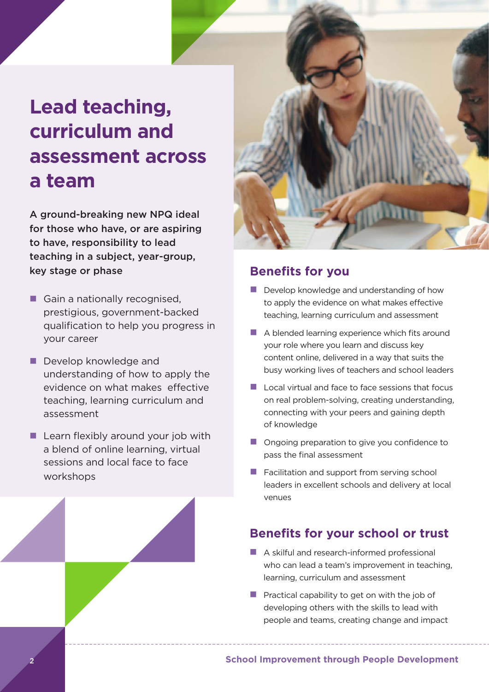# **Lead teaching, curriculum and assessment across a team**

A ground-breaking new NPQ ideal for those who have, or are aspiring to have, responsibility to lead teaching in a subject, year-group, key stage or phase

- **n** Gain a nationally recognised, prestigious, government-backed qualification to help you progress in your career
- $\blacksquare$  Develop knowledge and understanding of how to apply the evidence on what makes effective teaching, learning curriculum and assessment
- $\blacksquare$  Learn flexibly around your job with a blend of online learning, virtual sessions and local face to face workshops



#### **Benefits for you**

- $\blacksquare$  Develop knowledge and understanding of how to apply the evidence on what makes effective teaching, learning curriculum and assessment
- $\blacksquare$  A blended learning experience which fits around your role where you learn and discuss key content online, delivered in a way that suits the busy working lives of teachers and school leaders
- $\blacksquare$  Local virtual and face to face sessions that focus on real problem-solving, creating understanding, connecting with your peers and gaining depth of knowledge
- $\blacksquare$  Ongoing preparation to give you confidence to pass the final assessment
- $\blacksquare$  Facilitation and support from serving school leaders in excellent schools and delivery at local venues

## **Benefits for your school or trust**

- $\blacksquare$  A skilful and research-informed professional who can lead a team's improvement in teaching, learning, curriculum and assessment
- $\blacksquare$  Practical capability to get on with the job of developing others with the skills to lead with people and teams, creating change and impact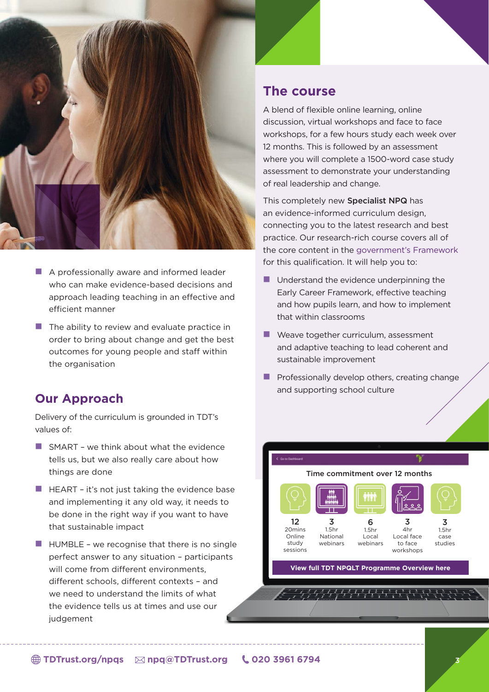

- $\blacksquare$  A professionally aware and informed leader who can make evidence-based decisions and approach leading teaching in an effective and efficient manner
- $\blacksquare$  The ability to review and evaluate practice in order to bring about change and get the best outcomes for young people and staff within the organisation

#### **Our Approach**

Delivery of the curriculum is grounded in TDT's values of:

- $\blacksquare$  SMART we think about what the evidence tells us, but we also really care about how things are done
- $\blacksquare$  HEART it's not just taking the evidence base and implementing it any old way, it needs to be done in the right way if you want to have that sustainable impact
- $\blacksquare$  HUMBLE we recognise that there is no single perfect answer to any situation – participants will come from different environments, different schools, different contexts – and we need to understand the limits of what the evidence tells us at times and use our judgement

#### **The course**

A blend of flexible online learning, online discussion, virtual workshops and face to face workshops, for a few hours study each week over 12 months. This is followed by an assessment where you will complete a 1500-word case study assessment to demonstrate your understanding of real leadership and change.

This completely new Specialist NPQ has an evidence-informed curriculum design, connecting you to the latest research and best practice. Our research-rich course covers all of the core content in the [government's Framework](https://assets.publishing.service.gov.uk/government/uploads/system/uploads/attachment_data/file/925513/NPQ_Leading_Teaching.pdf)  for this qualification. It will help you to:

- $\blacksquare$  Understand the evidence underpinning the Early Career Framework, effective teaching and how pupils learn, and how to implement that within classrooms
- $\blacksquare$  Weave together curriculum, assessment and adaptive teaching to lead coherent and sustainable improvement
- $\blacksquare$  Professionally develop others, creating change and supporting school culture